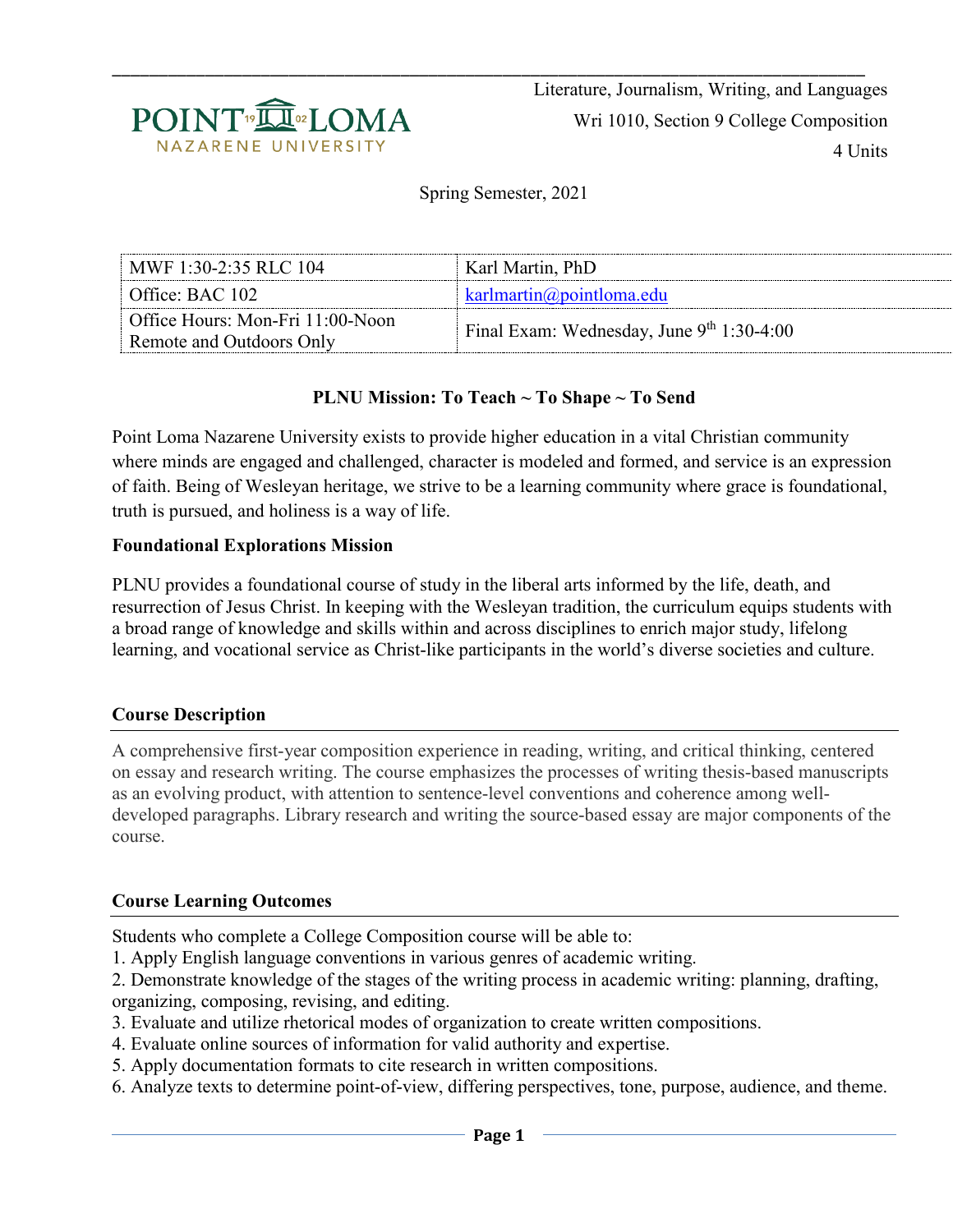

\_\_\_\_\_\_\_\_\_\_\_\_\_\_\_\_\_\_\_\_\_\_\_\_\_\_\_\_\_\_\_\_\_\_\_\_\_\_\_\_\_\_\_\_\_\_\_\_\_\_\_\_\_\_\_\_\_\_\_\_\_\_\_\_\_\_\_\_\_\_\_\_\_\_\_\_\_\_\_\_\_ Literature, Journalism, Writing, and Languages Wri 1010, Section 9 College Composition 4 Units

Spring Semester, 2021

| $\pm$ MWF 1:30-2:35 RLC 104                                  | Karl Martin, PhD                            |
|--------------------------------------------------------------|---------------------------------------------|
| $\blacksquare$ Office: BAC 102                               | $k$ arlmartin $\omega$ pointloma.edu        |
| Office Hours: Mon-Fri 11:00-Noon<br>Remote and Outdoors Only | Final Exam: Wednesday, June $9th 1:30-4:00$ |

### **PLNU Mission: To Teach ~ To Shape ~ To Send**

Point Loma Nazarene University exists to provide higher education in a vital Christian community where minds are engaged and challenged, character is modeled and formed, and service is an expression of faith. Being of Wesleyan heritage, we strive to be a learning community where grace is foundational, truth is pursued, and holiness is a way of life.

#### **Foundational Explorations Mission**

PLNU provides a foundational course of study in the liberal arts informed by the life, death, and resurrection of Jesus Christ. In keeping with the Wesleyan tradition, the curriculum equips students with a broad range of knowledge and skills within and across disciplines to enrich major study, lifelong learning, and vocational service as Christ-like participants in the world's diverse societies and culture.

#### **Course Description**

A comprehensive first-year composition experience in reading, writing, and critical thinking, centered on essay and research writing. The course emphasizes the processes of writing thesis-based manuscripts as an evolving product, with attention to sentence-level conventions and coherence among welldeveloped paragraphs. Library research and writing the source-based essay are major components of the course.

#### **Course Learning Outcomes**

Students who complete a College Composition course will be able to:

- 1. Apply English language conventions in various genres of academic writing.
- 2. Demonstrate knowledge of the stages of the writing process in academic writing: planning, drafting, organizing, composing, revising, and editing.
- 3. Evaluate and utilize rhetorical modes of organization to create written compositions.
- 4. Evaluate online sources of information for valid authority and expertise.
- 5. Apply documentation formats to cite research in written compositions.
- 6. Analyze texts to determine point-of-view, differing perspectives, tone, purpose, audience, and theme.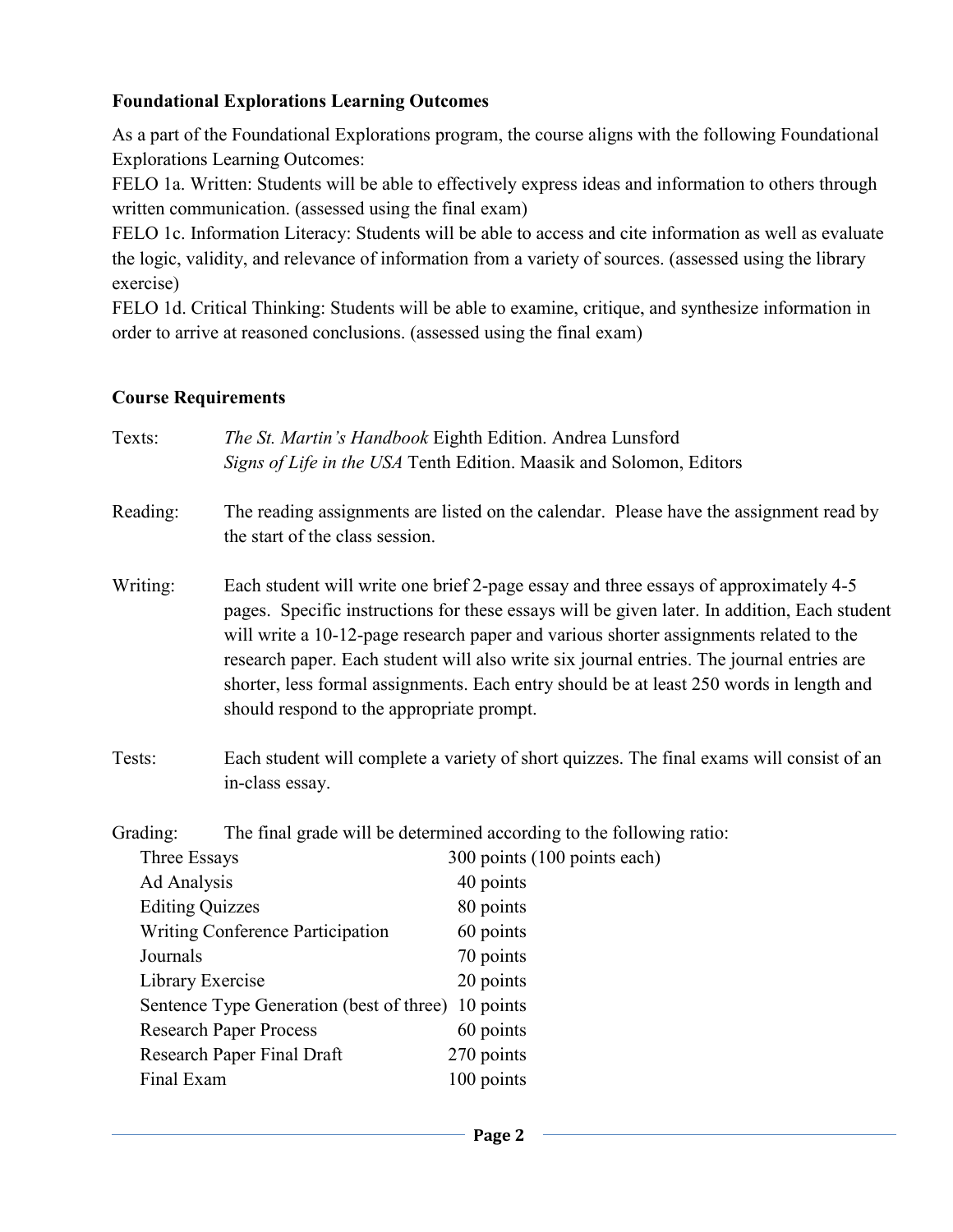### **Foundational Explorations Learning Outcomes**

As a part of the Foundational Explorations program, the course aligns with the following Foundational Explorations Learning Outcomes:

FELO 1a. Written: Students will be able to effectively express ideas and information to others through written communication. (assessed using the final exam)

FELO 1c. Information Literacy: Students will be able to access and cite information as well as evaluate the logic, validity, and relevance of information from a variety of sources. (assessed using the library exercise)

FELO 1d. Critical Thinking: Students will be able to examine, critique, and synthesize information in order to arrive at reasoned conclusions. (assessed using the final exam)

#### **Course Requirements**

| Texts:                                   |                                                                                                                                                                                                                                                                                                                                                                                                                                                                                                                    | The St. Martin's Handbook Eighth Edition. Andrea Lunsford<br>Signs of Life in the USA Tenth Edition. Maasik and Solomon, Editors |  |
|------------------------------------------|--------------------------------------------------------------------------------------------------------------------------------------------------------------------------------------------------------------------------------------------------------------------------------------------------------------------------------------------------------------------------------------------------------------------------------------------------------------------------------------------------------------------|----------------------------------------------------------------------------------------------------------------------------------|--|
| Reading:                                 | the start of the class session.                                                                                                                                                                                                                                                                                                                                                                                                                                                                                    | The reading assignments are listed on the calendar. Please have the assignment read by                                           |  |
| Writing:                                 | Each student will write one brief 2-page essay and three essays of approximately 4-5<br>pages. Specific instructions for these essays will be given later. In addition, Each student<br>will write a 10-12-page research paper and various shorter assignments related to the<br>research paper. Each student will also write six journal entries. The journal entries are<br>shorter, less formal assignments. Each entry should be at least 250 words in length and<br>should respond to the appropriate prompt. |                                                                                                                                  |  |
| Tests:                                   | in-class essay.                                                                                                                                                                                                                                                                                                                                                                                                                                                                                                    | Each student will complete a variety of short quizzes. The final exams will consist of an                                        |  |
| Grading:                                 | The final grade will be determined according to the following ratio:                                                                                                                                                                                                                                                                                                                                                                                                                                               |                                                                                                                                  |  |
| Three Essays                             |                                                                                                                                                                                                                                                                                                                                                                                                                                                                                                                    | 300 points (100 points each)                                                                                                     |  |
| Ad Analysis                              |                                                                                                                                                                                                                                                                                                                                                                                                                                                                                                                    | 40 points                                                                                                                        |  |
| <b>Editing Quizzes</b>                   |                                                                                                                                                                                                                                                                                                                                                                                                                                                                                                                    | 80 points                                                                                                                        |  |
| <b>Writing Conference Participation</b>  |                                                                                                                                                                                                                                                                                                                                                                                                                                                                                                                    | 60 points                                                                                                                        |  |
| Journals                                 |                                                                                                                                                                                                                                                                                                                                                                                                                                                                                                                    | 70 points                                                                                                                        |  |
| Library Exercise                         |                                                                                                                                                                                                                                                                                                                                                                                                                                                                                                                    | 20 points                                                                                                                        |  |
| Sentence Type Generation (best of three) |                                                                                                                                                                                                                                                                                                                                                                                                                                                                                                                    | 10 points                                                                                                                        |  |
| <b>Research Paper Process</b>            |                                                                                                                                                                                                                                                                                                                                                                                                                                                                                                                    | 60 points                                                                                                                        |  |

Research Paper Final Draft 270 points Final Exam 100 points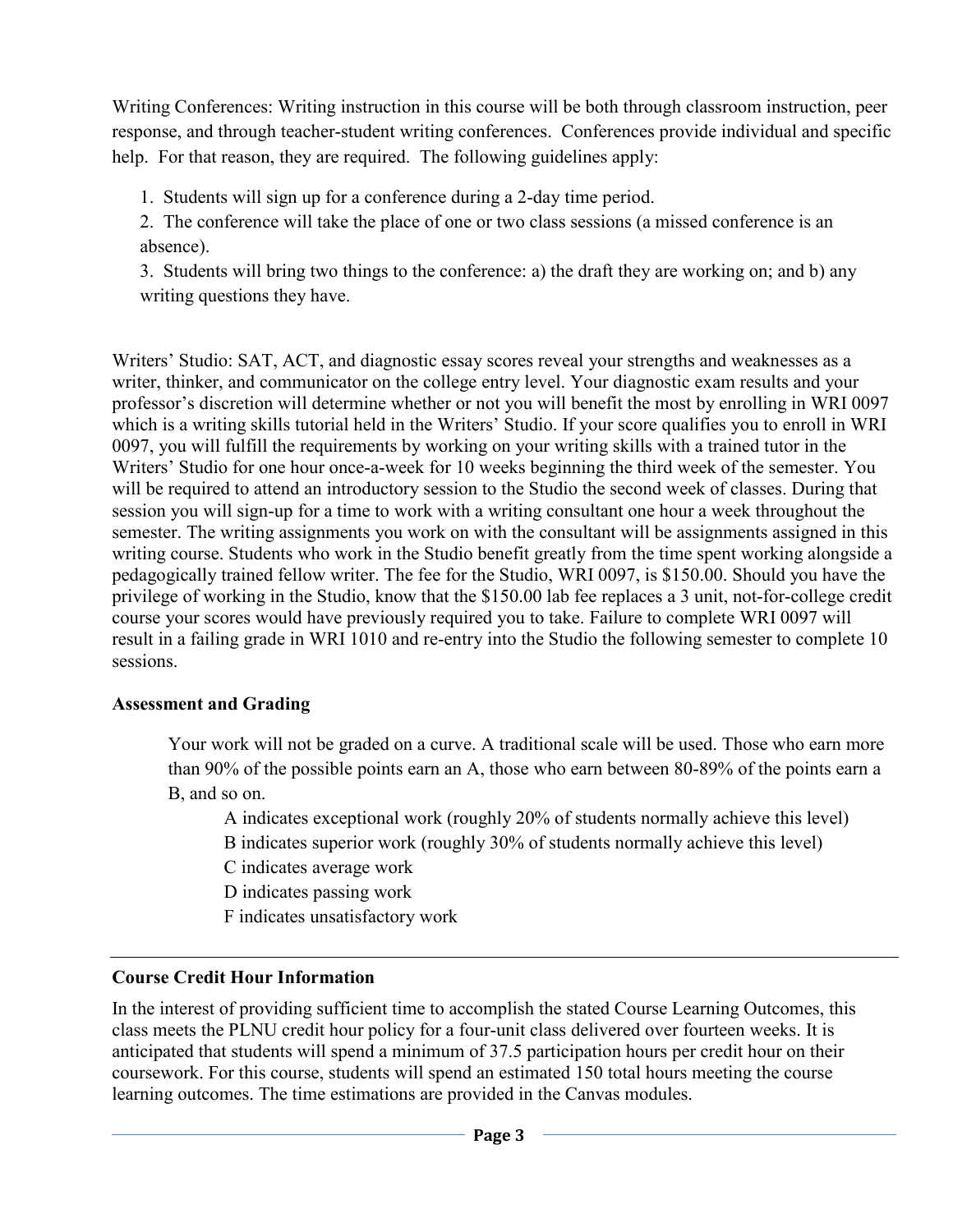Writing Conferences: Writing instruction in this course will be both through classroom instruction, peer response, and through teacher-student writing conferences. Conferences provide individual and specific help. For that reason, they are required. The following guidelines apply:

1. Students will sign up for a conference during a 2-day time period.

2. The conference will take the place of one or two class sessions (a missed conference is an absence).

3. Students will bring two things to the conference: a) the draft they are working on; and b) any writing questions they have.

Writers' Studio: SAT, ACT, and diagnostic essay scores reveal your strengths and weaknesses as a writer, thinker, and communicator on the college entry level. Your diagnostic exam results and your professor's discretion will determine whether or not you will benefit the most by enrolling in WRI 0097 which is a writing skills tutorial held in the Writers' Studio. If your score qualifies you to enroll in WRI 0097, you will fulfill the requirements by working on your writing skills with a trained tutor in the Writers' Studio for one hour once-a-week for 10 weeks beginning the third week of the semester. You will be required to attend an introductory session to the Studio the second week of classes. During that session you will sign-up for a time to work with a writing consultant one hour a week throughout the semester. The writing assignments you work on with the consultant will be assignments assigned in this writing course. Students who work in the Studio benefit greatly from the time spent working alongside a pedagogically trained fellow writer. The fee for the Studio, WRI 0097, is \$150.00. Should you have the privilege of working in the Studio, know that the \$150.00 lab fee replaces a 3 unit, not-for-college credit course your scores would have previously required you to take. Failure to complete WRI 0097 will result in a failing grade in WRI 1010 and re-entry into the Studio the following semester to complete 10 sessions.

## **Assessment and Grading**

Your work will not be graded on a curve. A traditional scale will be used. Those who earn more than 90% of the possible points earn an A, those who earn between 80-89% of the points earn a B, and so on.

A indicates exceptional work (roughly 20% of students normally achieve this level)

B indicates superior work (roughly 30% of students normally achieve this level)

C indicates average work

D indicates passing work

F indicates unsatisfactory work

# **Course Credit Hour Information**

In the interest of providing sufficient time to accomplish the stated Course Learning Outcomes, this class meets the PLNU credit hour policy for a four-unit class delivered over fourteen weeks. It is anticipated that students will spend a minimum of 37.5 participation hours per credit hour on their coursework. For this course, students will spend an estimated 150 total hours meeting the course learning outcomes. The time estimations are provided in the Canvas modules.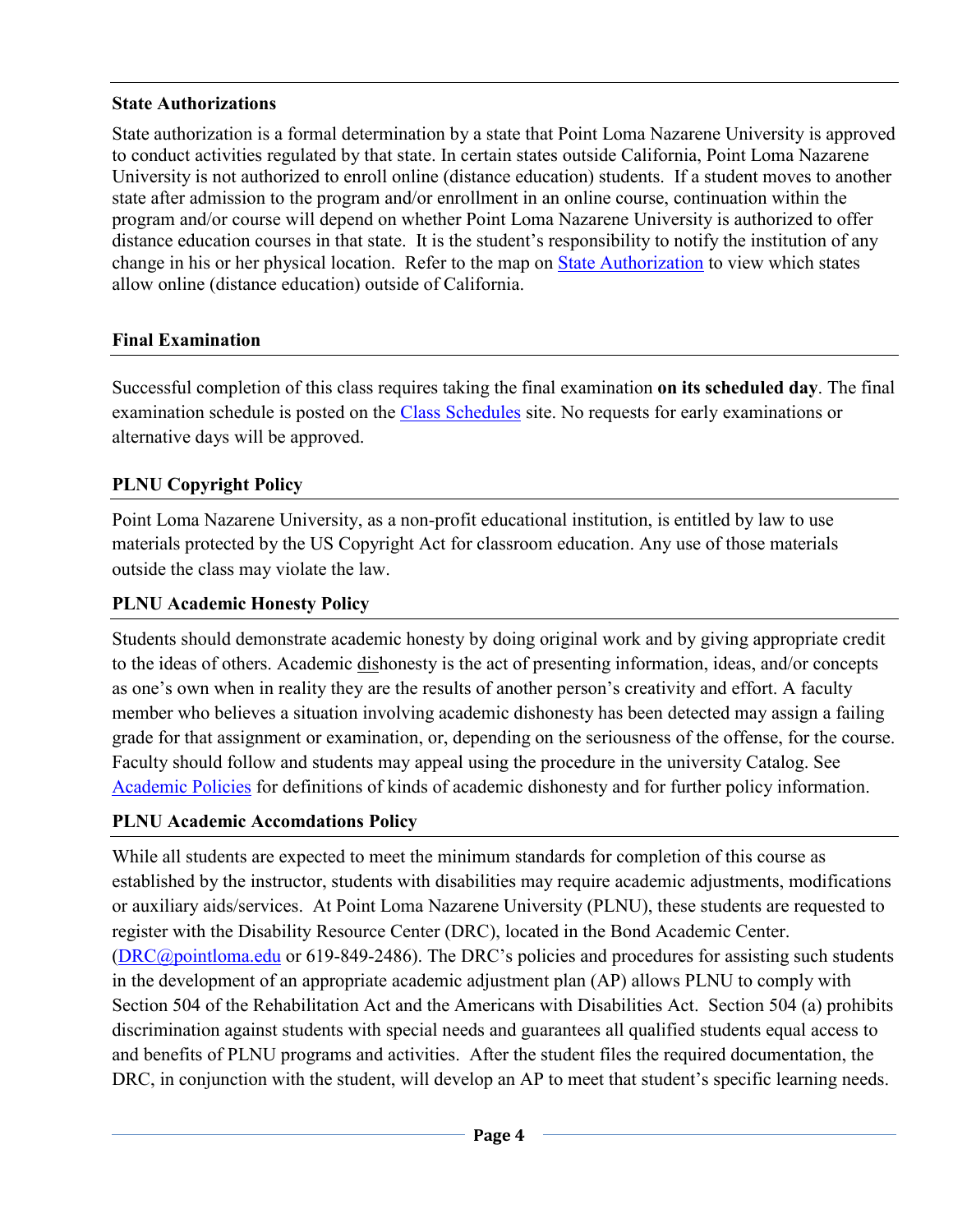## **State Authorizations**

State authorization is a formal determination by a state that Point Loma Nazarene University is approved to conduct activities regulated by that state. In certain states outside California, Point Loma Nazarene University is not authorized to enroll online (distance education) students. If a student moves to another state after admission to the program and/or enrollment in an online course, continuation within the program and/or course will depend on whether Point Loma Nazarene University is authorized to offer distance education courses in that state. It is the student's responsibility to notify the institution of any change in his or her physical location. Refer to the map on [State Authorization](https://www.pointloma.edu/offices/office-institutional-effectiveness-research/disclosures) to view which states allow online (distance education) outside of California.

### **Final Examination**

Successful completion of this class requires taking the final examination **on its scheduled day**. The final examination schedule is posted on the [Class Schedules](http://www.pointloma.edu/experience/academics/class-schedules) site. No requests for early examinations or alternative days will be approved.

## **PLNU Copyright Policy**

Point Loma Nazarene University, as a non-profit educational institution, is entitled by law to use materials protected by the US Copyright Act for classroom education. Any use of those materials outside the class may violate the law.

## **PLNU Academic Honesty Policy**

Students should demonstrate academic honesty by doing original work and by giving appropriate credit to the ideas of others. Academic dishonesty is the act of presenting information, ideas, and/or concepts as one's own when in reality they are the results of another person's creativity and effort. A faculty member who believes a situation involving academic dishonesty has been detected may assign a failing grade for that assignment or examination, or, depending on the seriousness of the offense, for the course. Faculty should follow and students may appeal using the procedure in the university Catalog. See [Academic Policies](http://catalog.pointloma.edu/content.php?catoid=18&navoid=1278) for definitions of kinds of academic dishonesty and for further policy information.

## **PLNU Academic Accomdations Policy**

While all students are expected to meet the minimum standards for completion of this course as established by the instructor, students with disabilities may require academic adjustments, modifications or auxiliary aids/services. At Point Loma Nazarene University (PLNU), these students are requested to register with the Disability Resource Center (DRC), located in the Bond Academic Center. [\(DRC@pointloma.edu](mailto:DRC@pointloma.edu) or 619-849-2486). The DRC's policies and procedures for assisting such students in the development of an appropriate academic adjustment plan (AP) allows PLNU to comply with Section 504 of the Rehabilitation Act and the Americans with Disabilities Act. Section 504 (a) prohibits discrimination against students with special needs and guarantees all qualified students equal access to and benefits of PLNU programs and activities. After the student files the required documentation, the DRC, in conjunction with the student, will develop an AP to meet that student's specific learning needs.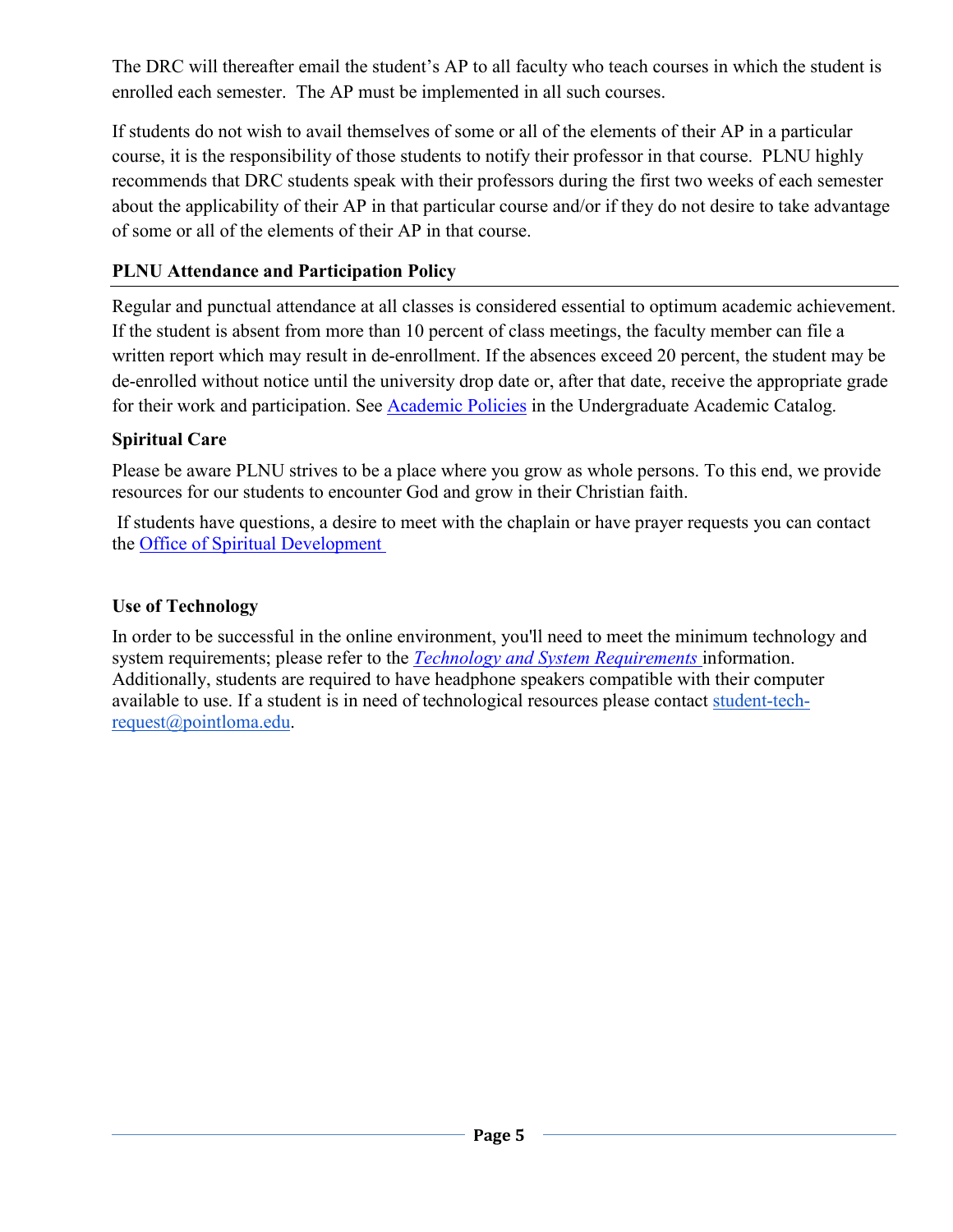The DRC will thereafter email the student's AP to all faculty who teach courses in which the student is enrolled each semester. The AP must be implemented in all such courses.

If students do not wish to avail themselves of some or all of the elements of their AP in a particular course, it is the responsibility of those students to notify their professor in that course. PLNU highly recommends that DRC students speak with their professors during the first two weeks of each semester about the applicability of their AP in that particular course and/or if they do not desire to take advantage of some or all of the elements of their AP in that course.

# **PLNU Attendance and Participation Policy**

Regular and punctual attendance at all classes is considered essential to optimum academic achievement. If the student is absent from more than 10 percent of class meetings, the faculty member can file a written report which may result in de-enrollment. If the absences exceed 20 percent, the student may be de-enrolled without notice until the university drop date or, after that date, receive the appropriate grade for their work and participation. See [Academic Policies](http://catalog.pointloma.edu/content.php?catoid=18&navoid=1278) in the Undergraduate Academic Catalog.

# **Spiritual Care**

Please be aware PLNU strives to be a place where you grow as whole persons. To this end, we provide resources for our students to encounter God and grow in their Christian faith.

If students have questions, a desire to meet with the chaplain or have prayer requests you can contact the [Office of Spiritual Development](https://www.pointloma.edu/offices/spiritual-development)

# **Use of Technology**

In order to be successful in the online environment, you'll need to meet the minimum technology and system requirements; please refer to the *[Technology and System Requirements](https://help.pointloma.edu/TDClient/1808/Portal/KB/ArticleDet?ID=108349)* information. Additionally, students are required to have headphone speakers compatible with their computer available to use. If a student is in need of technological resources please contact [student-tech](mailto:student-tech-request@pointloma.edu)[request@pointloma.edu.](mailto:student-tech-request@pointloma.edu)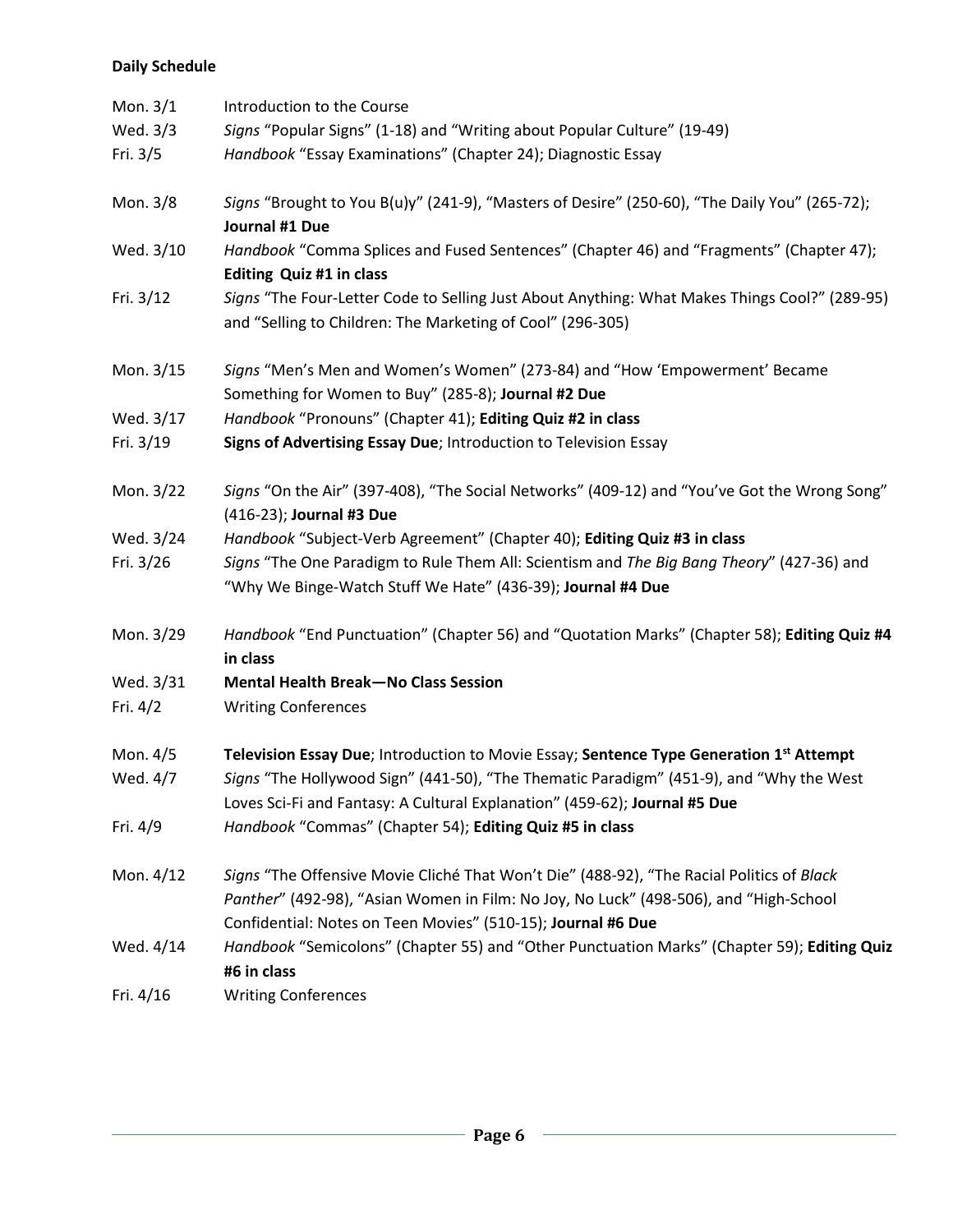### **Daily Schedule**

| Mon. 3/1    | Introduction to the Course                                                                                                                                                                                                                         |  |  |
|-------------|----------------------------------------------------------------------------------------------------------------------------------------------------------------------------------------------------------------------------------------------------|--|--|
| Wed. 3/3    | Signs "Popular Signs" (1-18) and "Writing about Popular Culture" (19-49)                                                                                                                                                                           |  |  |
| Fri. $3/5$  | Handbook "Essay Examinations" (Chapter 24); Diagnostic Essay                                                                                                                                                                                       |  |  |
| Mon. 3/8    | Signs "Brought to You B(u)y" (241-9), "Masters of Desire" (250-60), "The Daily You" (265-72);<br>Journal #1 Due                                                                                                                                    |  |  |
| Wed. 3/10   | Handbook "Comma Splices and Fused Sentences" (Chapter 46) and "Fragments" (Chapter 47);<br>Editing Quiz #1 in class                                                                                                                                |  |  |
| Fri. $3/12$ | Signs "The Four-Letter Code to Selling Just About Anything: What Makes Things Cool?" (289-95)<br>and "Selling to Children: The Marketing of Cool" (296-305)                                                                                        |  |  |
| Mon. 3/15   | Signs "Men's Men and Women's Women" (273-84) and "How 'Empowerment' Became<br>Something for Women to Buy" (285-8); Journal #2 Due                                                                                                                  |  |  |
| Wed. 3/17   | Handbook "Pronouns" (Chapter 41); Editing Quiz #2 in class                                                                                                                                                                                         |  |  |
| Fri. 3/19   | Signs of Advertising Essay Due; Introduction to Television Essay                                                                                                                                                                                   |  |  |
| Mon. 3/22   | Signs "On the Air" (397-408), "The Social Networks" (409-12) and "You've Got the Wrong Song"<br>(416-23); Journal #3 Due                                                                                                                           |  |  |
| Wed. 3/24   | Handbook "Subject-Verb Agreement" (Chapter 40); Editing Quiz #3 in class                                                                                                                                                                           |  |  |
| Fri. 3/26   | Signs "The One Paradigm to Rule Them All: Scientism and The Big Bang Theory" (427-36) and<br>"Why We Binge-Watch Stuff We Hate" (436-39); Journal #4 Due                                                                                           |  |  |
| Mon. 3/29   | Handbook "End Punctuation" (Chapter 56) and "Quotation Marks" (Chapter 58); Editing Quiz #4<br>in class                                                                                                                                            |  |  |
| Wed. 3/31   | <b>Mental Health Break-No Class Session</b>                                                                                                                                                                                                        |  |  |
| Fri. $4/2$  | <b>Writing Conferences</b>                                                                                                                                                                                                                         |  |  |
| Mon. 4/5    | Television Essay Due; Introduction to Movie Essay; Sentence Type Generation 1st Attempt                                                                                                                                                            |  |  |
| Wed. 4/7    | Signs "The Hollywood Sign" (441-50), "The Thematic Paradigm" (451-9), and "Why the West<br>Loves Sci-Fi and Fantasy: A Cultural Explanation" (459-62); Journal #5 Due                                                                              |  |  |
| Fri. 4/9    | Handbook "Commas" (Chapter 54); Editing Quiz #5 in class                                                                                                                                                                                           |  |  |
| Mon. 4/12   | Signs "The Offensive Movie Cliché That Won't Die" (488-92), "The Racial Politics of Black<br>Panther" (492-98), "Asian Women in Film: No Joy, No Luck" (498-506), and "High-School<br>Confidential: Notes on Teen Movies" (510-15); Journal #6 Due |  |  |
| Wed. 4/14   | Handbook "Semicolons" (Chapter 55) and "Other Punctuation Marks" (Chapter 59); Editing Quiz<br>#6 in class                                                                                                                                         |  |  |
| Fri. 4/16   | <b>Writing Conferences</b>                                                                                                                                                                                                                         |  |  |